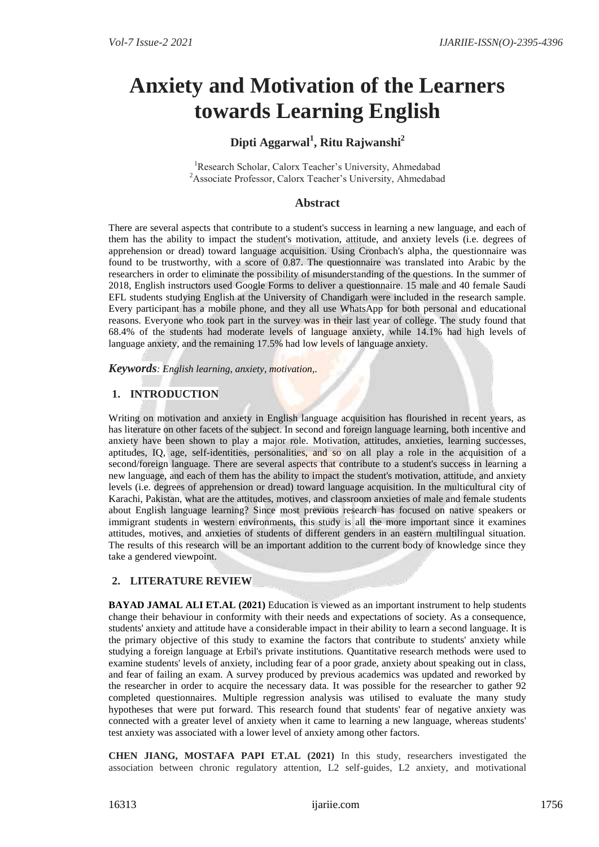# **Anxiety and Motivation of the Learners towards Learning English**

# **Dipti Aggarwal<sup>1</sup> , Ritu Rajwanshi<sup>2</sup>**

<sup>1</sup>Research Scholar, Calorx Teacher's University, Ahmedabad <sup>2</sup>Associate Professor, Calorx Teacher's University, Ahmedabad

# **Abstract**

There are several aspects that contribute to a student's success in learning a new language, and each of them has the ability to impact the student's motivation, attitude, and anxiety levels (i.e. degrees of apprehension or dread) toward language acquisition. Using Cronbach's alpha, the questionnaire was found to be trustworthy, with a score of 0.87. The questionnaire was translated into Arabic by the researchers in order to eliminate the possibility of misunderstanding of the questions. In the summer of 2018, English instructors used Google Forms to deliver a questionnaire. 15 male and 40 female Saudi EFL students studying English at the University of Chandigarh were included in the research sample. Every participant has a mobile phone, and they all use WhatsApp for both personal and educational reasons. Everyone who took part in the survey was in their last year of college. The study found that 68.4% of the students had moderate levels of language anxiety, while 14.1% had high levels of language anxiety, and the remaining 17.5% had low levels of language anxiety.

*Keywords: English learning, anxiety, motivation,.*

# **1. INTRODUCTION**

Writing on motivation and anxiety in English language acquisition has flourished in recent years, as has literature on other facets of the subject. In second and foreign language learning, both incentive and anxiety have been shown to play a major role. Motivation, attitudes, anxieties, learning successes, aptitudes, IQ, age, self-identities, personalities, and so on all play a role in the acquisition of a second/foreign language. There are several aspects that contribute to a student's success in learning a new language, and each of them has the ability to impact the student's motivation, attitude, and anxiety levels (i.e. degrees of apprehension or dread) toward language acquisition. In the multicultural city of Karachi, Pakistan, what are the attitudes, motives, and classroom anxieties of male and female students about English language learning? Since most previous research has focused on native speakers or immigrant students in western environments, this study is all the more important since it examines attitudes, motives, and anxieties of students of different genders in an eastern multilingual situation. The results of this research will be an important addition to the current body of knowledge since they take a gendered viewpoint.

# **2. LITERATURE REVIEW**

**BAYAD JAMAL ALI ET.AL (2021)** Education is viewed as an important instrument to help students change their behaviour in conformity with their needs and expectations of society. As a consequence, students' anxiety and attitude have a considerable impact in their ability to learn a second language. It is the primary objective of this study to examine the factors that contribute to students' anxiety while studying a foreign language at Erbil's private institutions. Quantitative research methods were used to examine students' levels of anxiety, including fear of a poor grade, anxiety about speaking out in class, and fear of failing an exam. A survey produced by previous academics was updated and reworked by the researcher in order to acquire the necessary data. It was possible for the researcher to gather 92 completed questionnaires. Multiple regression analysis was utilised to evaluate the many study hypotheses that were put forward. This research found that students' fear of negative anxiety was connected with a greater level of anxiety when it came to learning a new language, whereas students' test anxiety was associated with a lower level of anxiety among other factors.

**CHEN JIANG, MOSTAFA PAPI ET.AL (2021)** In this study, researchers investigated the association between chronic regulatory attention, L2 self-guides, L2 anxiety, and motivational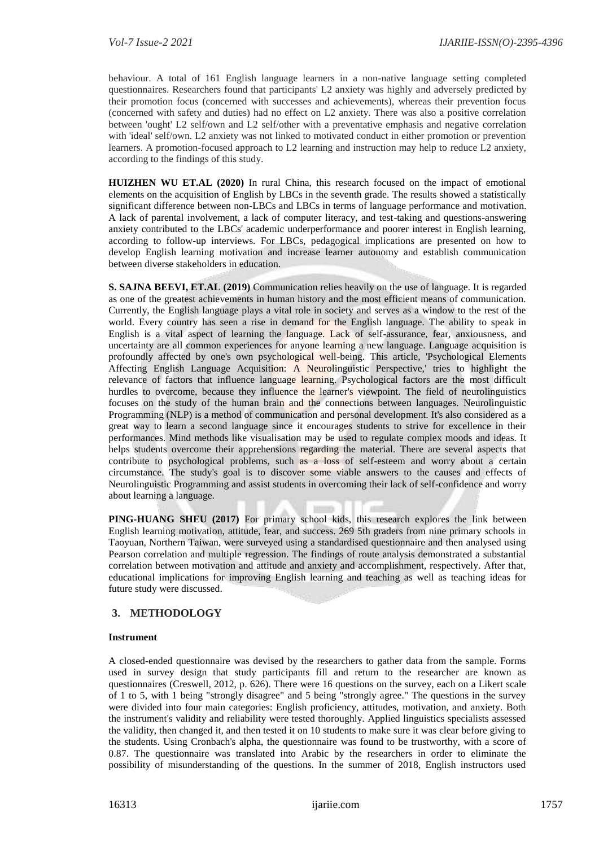behaviour. A total of 161 English language learners in a non-native language setting completed questionnaires. Researchers found that participants' L2 anxiety was highly and adversely predicted by their promotion focus (concerned with successes and achievements), whereas their prevention focus (concerned with safety and duties) had no effect on L2 anxiety. There was also a positive correlation between 'ought' L2 self/own and L2 self/other with a preventative emphasis and negative correlation with 'ideal' self/own. L2 anxiety was not linked to motivated conduct in either promotion or prevention learners. A promotion-focused approach to L2 learning and instruction may help to reduce L2 anxiety, according to the findings of this study.

**HUIZHEN WU ET.AL (2020)** In rural China, this research focused on the impact of emotional elements on the acquisition of English by LBCs in the seventh grade. The results showed a statistically significant difference between non-LBCs and LBCs in terms of language performance and motivation. A lack of parental involvement, a lack of computer literacy, and test-taking and questions-answering anxiety contributed to the LBCs' academic underperformance and poorer interest in English learning, according to follow-up interviews. For LBCs, pedagogical implications are presented on how to develop English learning motivation and increase learner autonomy and establish communication between diverse stakeholders in education.

**S. SAJNA BEEVI, ET.AL (2019)** Communication relies heavily on the use of language. It is regarded as one of the greatest achievements in human history and the most efficient means of communication. Currently, the English language plays a vital role in society and serves as a window to the rest of the world. Every country has seen a rise in demand for the English language. The ability to speak in English is a vital aspect of learning the language. Lack of self-assurance, fear, anxiousness, and uncertainty are all common experiences for anyone learning a new language. Language acquisition is profoundly affected by one's own psychological well-being. This article, 'Psychological Elements Affecting English Language Acquisition: A Neurolinguistic Perspective,' tries to highlight the relevance of factors that influence language learning. Psychological factors are the most difficult hurdles to overcome, because they influence the learner's viewpoint. The field of neurolinguistics focuses on the study of the human brain and the connections between languages. Neurolinguistic Programming (NLP) is a method of communication and personal development. It's also considered as a great way to learn a second language since it encourages students to strive for excellence in their performances. Mind methods like visualisation may be used to regulate complex moods and ideas. It helps students overcome their apprehensions regarding the material. There are several aspects that contribute to psychological problems, such as a loss of self-esteem and worry about a certain circumstance. The study's goal is to discover some viable answers to the causes and effects of Neurolinguistic Programming and assist students in overcoming their lack of self-confidence and worry about learning a language.

**PING-HUANG SHEU (2017)** For primary school kids, this research explores the link between English learning motivation, attitude, fear, and success. 269 5th graders from nine primary schools in Taoyuan, Northern Taiwan, were surveyed using a standardised questionnaire and then analysed using Pearson correlation and multiple regression. The findings of route analysis demonstrated a substantial correlation between motivation and attitude and anxiety and accomplishment, respectively. After that, educational implications for improving English learning and teaching as well as teaching ideas for future study were discussed.

# **3. METHODOLOGY**

#### **Instrument**

A closed-ended questionnaire was devised by the researchers to gather data from the sample. Forms used in survey design that study participants fill and return to the researcher are known as questionnaires (Creswell, 2012, p. 626). There were 16 questions on the survey, each on a Likert scale of 1 to 5, with 1 being "strongly disagree" and 5 being "strongly agree." The questions in the survey were divided into four main categories: English proficiency, attitudes, motivation, and anxiety. Both the instrument's validity and reliability were tested thoroughly. Applied linguistics specialists assessed the validity, then changed it, and then tested it on 10 students to make sure it was clear before giving to the students. Using Cronbach's alpha, the questionnaire was found to be trustworthy, with a score of 0.87. The questionnaire was translated into Arabic by the researchers in order to eliminate the possibility of misunderstanding of the questions. In the summer of 2018, English instructors used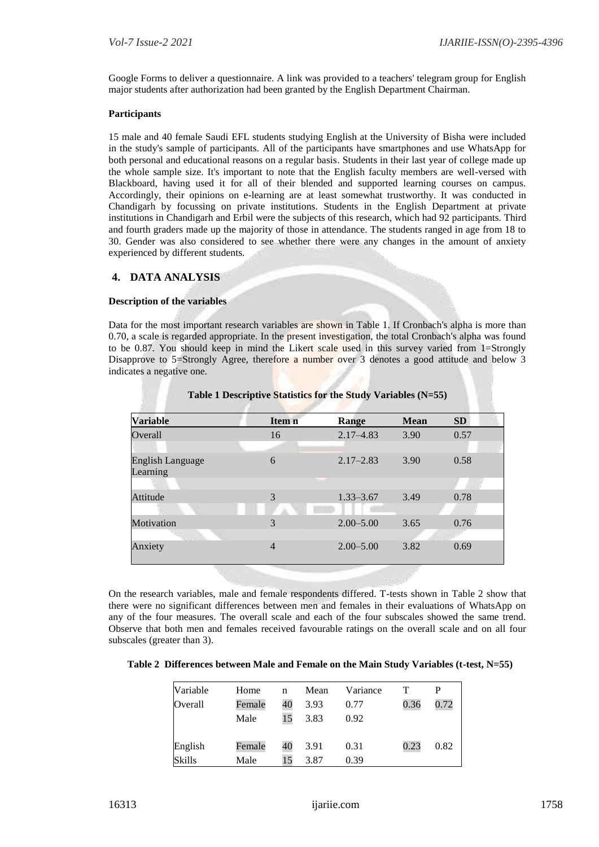Google Forms to deliver a questionnaire. A link was provided to a teachers' telegram group for English major students after authorization had been granted by the English Department Chairman.

#### **Participants**

15 male and 40 female Saudi EFL students studying English at the University of Bisha were included in the study's sample of participants. All of the participants have smartphones and use WhatsApp for both personal and educational reasons on a regular basis. Students in their last year of college made up the whole sample size. It's important to note that the English faculty members are well-versed with Blackboard, having used it for all of their blended and supported learning courses on campus. Accordingly, their opinions on e-learning are at least somewhat trustworthy. It was conducted in Chandigarh by focussing on private institutions. Students in the English Department at private institutions in Chandigarh and Erbil were the subjects of this research, which had 92 participants. Third and fourth graders made up the majority of those in attendance. The students ranged in age from 18 to 30. Gender was also considered to see whether there were any changes in the amount of anxiety experienced by different students.

### **4. DATA ANALYSIS**

#### **Description of the variables**

Data for the most important research variables are shown in Table 1. If Cronbach's alpha is more than 0.70, a scale is regarded appropriate. In the present investigation, the total Cronbach's alpha was found to be 0.87. You should keep in mind the Likert scale used in this survey varied from 1=Strongly Disapprove to 5=Strongly Agree, therefore a number over 3 denotes a good attitude and below 3 indicates a negative one.

| <b>Variable</b>                     | Item n         | Range         | <b>Mean</b> | <b>SD</b> |  |
|-------------------------------------|----------------|---------------|-------------|-----------|--|
| Overall                             | 16             | $2.17 - 4.83$ | 3.90        | 0.57      |  |
|                                     |                |               |             |           |  |
| <b>English Language</b><br>Learning | 6              | $2.17 - 2.83$ | 3.90        | 0.58      |  |
|                                     |                |               |             |           |  |
| Attitude                            | 3              | $1.33 - 3.67$ | 3.49        | 0.78      |  |
|                                     |                |               |             |           |  |
| Motivation                          | 3              | $2.00 - 5.00$ | 3.65        | 0.76      |  |
| <b>All States</b>                   |                |               |             |           |  |
| Anxiety                             | $\overline{4}$ | $2.00 - 5.00$ | 3.82        | 0.69      |  |
|                                     |                |               |             |           |  |

| Table 1 Descriptive Statistics for the Study Variables (N=55) |  |  |  |  |
|---------------------------------------------------------------|--|--|--|--|
|---------------------------------------------------------------|--|--|--|--|

On the research variables, male and female respondents differed. T-tests shown in Table 2 show that there were no significant differences between men and females in their evaluations of WhatsApp on any of the four measures. The overall scale and each of the four subscales showed the same trend. Observe that both men and females received favourable ratings on the overall scale and on all four subscales (greater than 3).

|  |  |  |  | Table 2 Differences between Male and Female on the Main Study Variables (t-test, N=55) |
|--|--|--|--|----------------------------------------------------------------------------------------|
|--|--|--|--|----------------------------------------------------------------------------------------|

| Variable      | Home   | n  | Mean | Variance |      |      |
|---------------|--------|----|------|----------|------|------|
| Overall       | Female | 40 | 3.93 | 0.77     | 0.36 | 0.72 |
|               | Male   | 15 | 3.83 | 0.92     |      |      |
| English       | Female | 40 | 3.91 | 0.31     | 0.23 | 0.82 |
| <b>Skills</b> | Male   | 15 | 3.87 | 0.39     |      |      |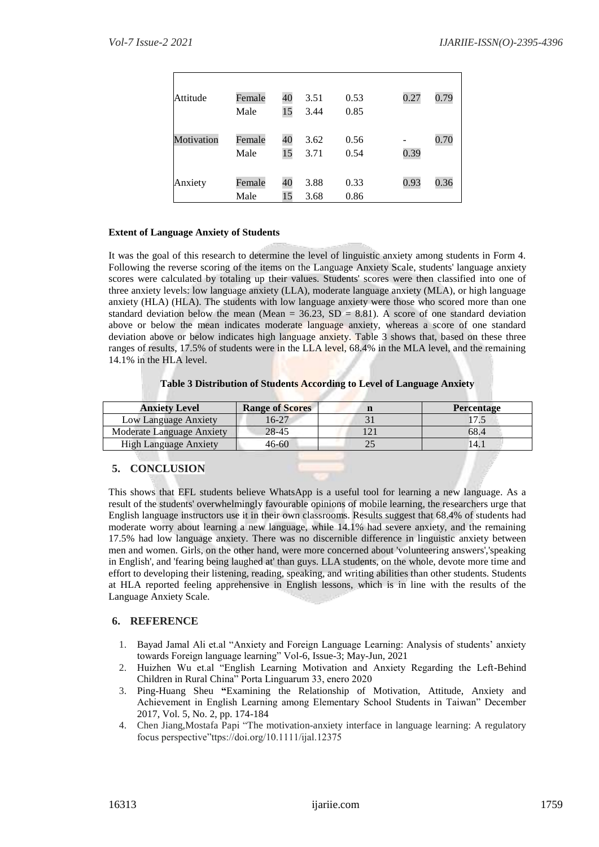| Attitude   | Female | 40 | 3.51 | 0.53 | 0.27 | 0.79 |
|------------|--------|----|------|------|------|------|
|            | Male   | 15 | 3.44 | 0.85 |      |      |
|            |        |    |      |      |      |      |
| Motivation | Female | 40 | 3.62 | 0.56 |      | 0.70 |
|            | Male   | 15 | 3.71 | 0.54 | 0.39 |      |
|            |        |    |      |      |      |      |
| Anxiety    | Female | 40 | 3.88 | 0.33 | 0.93 | 0.36 |
|            | Male   | 15 | 3.68 | 0.86 |      |      |

# **Extent of Language Anxiety of Students**

It was the goal of this research to determine the level of linguistic anxiety among students in Form 4. Following the reverse scoring of the items on the Language Anxiety Scale, students' language anxiety scores were calculated by totaling up their values. Students' scores were then classified into one of three anxiety levels: low language anxiety (LLA), moderate language anxiety (MLA), or high language anxiety (HLA) (HLA). The students with low language anxiety were those who scored more than one standard deviation below the mean (Mean =  $36.23$ , SD = 8.81). A score of one standard deviation above or below the mean indicates moderate language anxiety, whereas a score of one standard deviation above or below indicates high language anxiety. Table 3 shows that, based on these three ranges of results, 17.5% of students were in the LLA level, 68.4% in the MLA level, and the remaining 14.1% in the HLA level.

# **Table 3 Distribution of Students According to Level of Language Anxiety**

| <b>Anxiety Level</b>         | <b>Range of Scores</b> | <b>Percentage</b> |
|------------------------------|------------------------|-------------------|
| Low Language Anxiety         | 16-27                  |                   |
| Moderate Language Anxiety    | 28-45                  | 68.4              |
| <b>High Language Anxiety</b> | 46-60                  | 14.1              |

# **5. CONCLUSION**

This shows that EFL students believe WhatsApp is a useful tool for learning a new language. As a result of the students' overwhelmingly favourable opinions of mobile learning, the researchers urge that English language instructors use it in their own classrooms. Results suggest that 68.4% of students had moderate worry about learning a new language, while 14.1% had severe anxiety, and the remaining 17.5% had low language anxiety. There was no discernible difference in linguistic anxiety between men and women. Girls, on the other hand, were more concerned about 'volunteering answers','speaking in English', and 'fearing being laughed at' than guys. LLA students, on the whole, devote more time and effort to developing their listening, reading, speaking, and writing abilities than other students. Students at HLA reported feeling apprehensive in English lessons, which is in line with the results of the Language Anxiety Scale.

# **6. REFERENCE**

- 1. Bayad Jamal Ali et.al "Anxiety and Foreign Language Learning: Analysis of students' anxiety towards Foreign language learning" Vol-6, Issue-3; May-Jun, 2021
- 2. Huizhen Wu et.al "English Learning Motivation and Anxiety Regarding the Left-Behind Children in Rural China" Porta Linguarum 33, enero 2020
- 3. Ping-Huang Sheu **"**Examining the Relationship of Motivation, Attitude, Anxiety and Achievement in English Learning among Elementary School Students in Taiwan" December 2017, Vol. 5, No. 2, pp. 174-184
- 4. Chen Jiang,Mostafa Papi "The motivation-anxiety interface in language learning: A regulatory focus perspective"ttps://doi.org/10.1111/ijal.12375